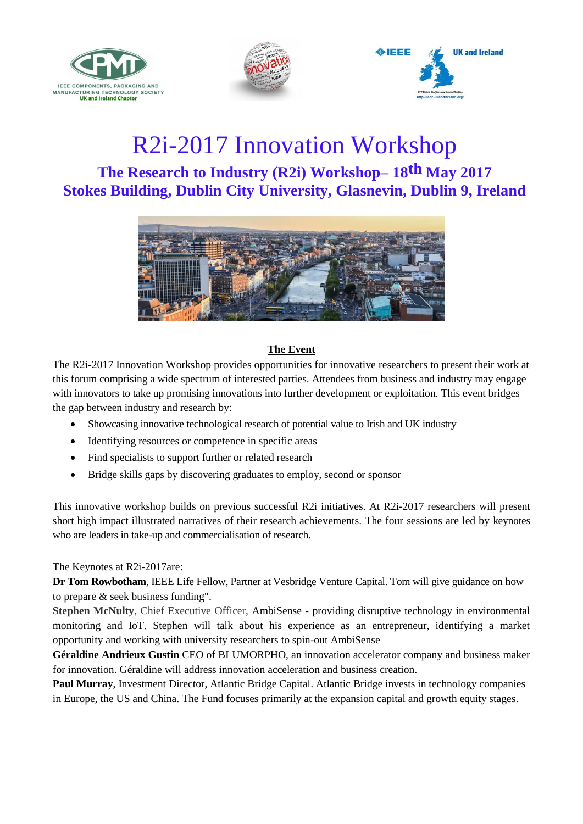





# R2i-2017 Innovation Workshop **The Research to Industry (R2i) Workshop– 18th May 2017 Stokes Building, Dublin City University, Glasnevin, Dublin 9, Ireland**



# **The Event**

The R2i-2017 Innovation Workshop provides opportunities for innovative researchers to present their work at this forum comprising a wide spectrum of interested parties. Attendees from business and industry may engage with innovators to take up promising innovations into further development or exploitation. This event bridges the gap between industry and research by:

- Showcasing innovative technological research of potential value to Irish and UK industry
- Identifying resources or competence in specific areas
- Find specialists to support further or related research
- Bridge skills gaps by discovering graduates to employ, second or sponsor

This innovative workshop builds on previous successful R2i initiatives. At R2i-2017 researchers will present short high impact illustrated narratives of their research achievements. The four sessions are led by keynotes who are leaders in take-up and commercialisation of research.

### The Keynotes at R2i-2017are:

**Dr Tom Rowbotham**, IEEE Life Fellow, Partner at Vesbridge Venture Capital. Tom will give guidance on how to prepare & seek business funding".

**Stephen McNulty**, Chief Executive Officer, AmbiSense - providing disruptive technology in environmental monitoring and IoT. Stephen will talk about his experience as an entrepreneur, identifying a market opportunity and working with university researchers to spin-out AmbiSense

**Géraldine Andrieux Gustin** CEO of BLUMORPHO, an innovation accelerator company and business maker for innovation. Géraldine will address innovation acceleration and business creation.

**Paul Murray**, Investment Director, Atlantic Bridge Capital. Atlantic Bridge invests in technology companies in Europe, the US and China. The Fund focuses primarily at the expansion capital and growth equity stages.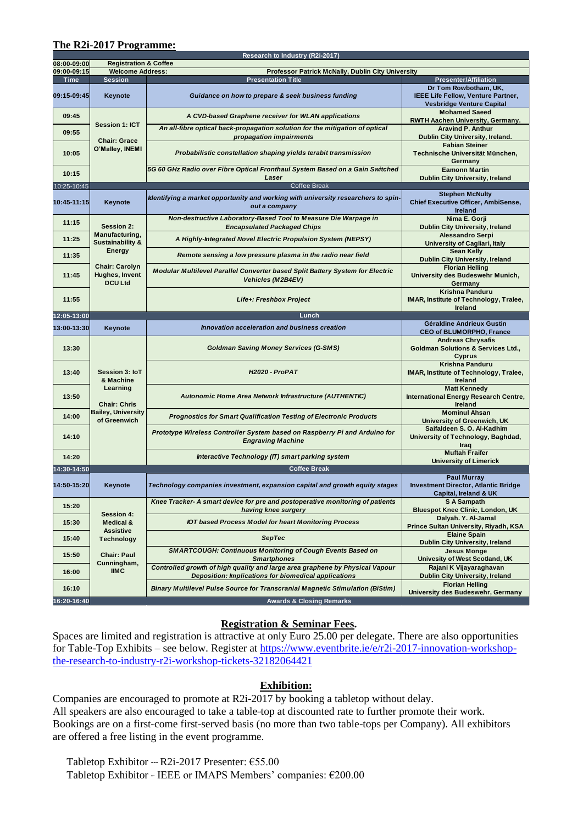### **The R2i-2017 Programme:**

|             |                                                                 | Research to Industry (R2i-2017)                                                                                                       |                                                                                                 |
|-------------|-----------------------------------------------------------------|---------------------------------------------------------------------------------------------------------------------------------------|-------------------------------------------------------------------------------------------------|
| 08:00-09:00 | <b>Registration &amp; Coffee</b><br><b>Welcome Address:</b>     |                                                                                                                                       |                                                                                                 |
| 09:00-09:15 |                                                                 | Professor Patrick McNally, Dublin City University                                                                                     |                                                                                                 |
| Time        | <b>Session</b>                                                  | <b>Presentation Title</b>                                                                                                             | <b>Presenter/Affiliation</b>                                                                    |
| 09:15-09:45 | Keynote                                                         | Guidance on how to prepare & seek business funding                                                                                    | Dr Tom Rowbotham, UK,<br>IEEE Life Fellow, Venture Partner,<br><b>Vesbridge Venture Capital</b> |
| 09:45       | <b>Session 1: ICT</b><br><b>Chair: Grace</b><br>O'Malley, INEMI | A CVD-based Graphene receiver for WLAN applications                                                                                   | <b>Mohamed Saeed</b><br>RWTH Aachen University, Germany.                                        |
| 09:55       |                                                                 | An all-fibre optical back-propagation solution for the mitigation of optical<br>propagation impairments                               | <b>Aravind P. Anthur</b><br>Dublin City University, Ireland.                                    |
| 10:05       |                                                                 | Probabilistic constellation shaping yields terabit transmission                                                                       | <b>Fabian Steiner</b><br>Technische Universität München,<br>Germany                             |
| 10:15       |                                                                 | 5G 60 GHz Radio over Fibre Optical Fronthaul System Based on a Gain Switched<br>Laser                                                 | <b>Eamonn Martin</b><br><b>Dublin City University, Ireland</b>                                  |
| 10:25-10:45 |                                                                 | <b>Coffee Break</b>                                                                                                                   |                                                                                                 |
| 10:45-11:15 | Keynote                                                         | Identifying a market opportunity and working with university researchers to spin-<br>out a company                                    | <b>Stephen McNulty</b><br>Chief Executive Officer, AmbiSense,<br>Ireland                        |
| 11:15       | <b>Session 2:</b>                                               | Non-destructive Laboratory-Based Tool to Measure Die Warpage in<br><b>Encapsulated Packaged Chips</b>                                 | Nima E. Gorji<br>Dublin City University, Ireland                                                |
| 11:25       | Manufacturing,<br><b>Sustainability &amp;</b>                   | A Highly-Integrated Novel Electric Propulsion System (NEPSY)                                                                          | <b>Alessandro Serpi</b><br>University of Cagliari, Italy                                        |
| 11:35       | <b>Energy</b>                                                   | Remote sensing a low pressure plasma in the radio near field                                                                          | <b>Sean Kelly</b><br>Dublin City University, Ireland                                            |
| 11:45       | <b>Chair: Carolyn</b><br>Hughes, Invent<br><b>DCU Ltd</b>       | Modular Multilevel Parallel Converter based Split Battery System for Electric<br><b>Vehicles (M2B4EV)</b>                             | <b>Florian Helling</b><br>University des Budeswehr Munich,<br>Germany                           |
| 11:55       |                                                                 | Life+: Freshbox Project                                                                                                               | Krishna Panduru<br>IMAR, Institute of Technology, Tralee,<br>Ireland                            |
| 12:05-13:00 |                                                                 | Lunch                                                                                                                                 |                                                                                                 |
| 13:00-13:30 | Keynote                                                         | Innovation acceleration and business creation                                                                                         | Géraldine Andrieux Gustin<br><b>CEO of BLUMORPHO, France</b>                                    |
| 13:30       |                                                                 | <b>Goldman Saving Money Services (G-SMS)</b>                                                                                          | <b>Andreas Chrysafis</b><br><b>Goldman Solutions &amp; Services Ltd.,</b><br><b>Cyprus</b>      |
| 13:40       | Session 3: IoT<br>& Machine                                     | <b>H2020 - ProPAT</b>                                                                                                                 | Krishna Panduru<br><b>IMAR, Institute of Technology, Tralee,</b><br>Ireland                     |
| 13:50       | Learning<br><b>Chair: Chris</b>                                 | <b>Autonomic Home Area Network Infrastructure (AUTHENTIC)</b>                                                                         | <b>Matt Kennedy</b><br>International Energy Research Centre,<br>Ireland                         |
| 14:00       | <b>Bailey, University</b><br>of Greenwich                       | <b>Prognostics for Smart Qualification Testing of Electronic Products</b>                                                             | <b>Mominul Ahsan</b><br>University of Greenwich, UK                                             |
| 14:10       |                                                                 | Prototype Wireless Controller System based on Raspberry Pi and Arduino for<br><b>Engraving Machine</b>                                | Saifaldeen S. O. Al-Kadhim<br>University of Technology, Baghdad,<br>Iraq                        |
| 14:20       |                                                                 | Interactive Technology (IT) smart parking system                                                                                      | <b>Muftah Fraifer</b><br><b>University of Limerick</b>                                          |
| 14:30-14:50 |                                                                 | <b>Coffee Break</b>                                                                                                                   |                                                                                                 |
| 14:50-15:20 | Keynote                                                         | Technology companies investment, expansion capital and growth equity stages                                                           | <b>Paul Murray</b><br><b>Investment Director, Atlantic Bridge</b><br>Capital, Ireland & UK      |
| 15:20       |                                                                 | Knee Tracker- A smart device for pre and postoperative monitoring of patients<br>having knee surgery                                  | S A Sampath<br><b>Bluespot Knee Clinic, London, UK</b>                                          |
| 15:30       | <b>Session 4:</b><br>Medical &                                  | <b>IOT based Process Model for heart Monitoring Process</b>                                                                           | Dalyah. Y. Al-Jamal<br>Prince Sultan University, Riyadh, KSA                                    |
| 15:40       | <b>Assistive</b><br><b>Technology</b>                           | <b>SepTec</b>                                                                                                                         | <b>Elaine Spain</b><br>Dublin City University, Ireland                                          |
| 15:50       | <b>Chair: Paul</b>                                              | <b>SMARTCOUGH: Continuous Monitoring of Cough Events Based on</b><br><b>Smartphones</b>                                               | <b>Jesus Monge</b>                                                                              |
| 16:00       | Cunningham,<br><b>IIMC</b>                                      | Controlled growth of high quality and large area graphene by Physical Vapour                                                          | Univesity of West Scotland, UK<br>Rajani K Vijayaraghavan                                       |
| 16:10       |                                                                 | Deposition: Implications for biomedical applications<br>Binary Multilevel Pulse Source for Transcranial Magnetic Stimulation (BiStim) | <b>Dublin City University, Ireland</b><br><b>Florian Helling</b>                                |
| 16:20-16:40 |                                                                 | <b>Awards &amp; Closing Remarks</b>                                                                                                   | University des Budeswehr, Germany                                                               |

### **Registration & Seminar Fees.**

Spaces are limited and registration is attractive at only Euro 25.00 per delegate. There are also opportunities for Table-Top Exhibits – see below. Register at [https://www.eventbrite.ie/e/r2i-2017-innovation-workshop](https://www.eventbrite.ie/e/r2i-2017-innovation-workshop-the-research-to-industry-r2i-workshop-tickets-32182064421)[the-research-to-industry-r2i-workshop-tickets-32182064421](https://www.eventbrite.ie/e/r2i-2017-innovation-workshop-the-research-to-industry-r2i-workshop-tickets-32182064421)

## **Exhibition:**

Companies are encouraged to promote at R2i-2017 by booking a tabletop without delay. All speakers are also encouraged to take a table-top at discounted rate to further promote their work. Bookings are on a first-come first-served basis (no more than two table-tops per Company). All exhibitors are offered a free listing in the event programme.

Tabletop Exhibitor --- R2i-2017 Presenter: €55.00 Tabletop Exhibitor - IEEE or IMAPS Members' companies: €200.00